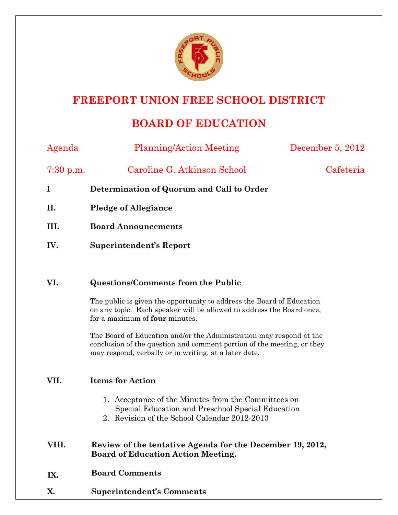

# **FREEPORT UNION FREE SCHOOL DISTRICT**

# **BOARD OF EDUCATION**

| Agenda    | <b>Planning/Action Meeting</b>                                                                                                                                                                         | December 5, 2012 |
|-----------|--------------------------------------------------------------------------------------------------------------------------------------------------------------------------------------------------------|------------------|
| 7:30 p.m. | Caroline G. Atkinson School                                                                                                                                                                            | Cafeteria        |
| I         | Determination of Quorum and Call to Order                                                                                                                                                              |                  |
| П.        | <b>Pledge of Allegiance</b>                                                                                                                                                                            |                  |
| III.      | <b>Board Announcements</b>                                                                                                                                                                             |                  |
| IV.       | <b>Superintendent's Report</b>                                                                                                                                                                         |                  |
|           |                                                                                                                                                                                                        |                  |
| VI.       | <b>Questions/Comments from the Public</b>                                                                                                                                                              |                  |
|           | The public is given the opportunity to address the Board of Education<br>on any topic. Each speaker will be allowed to address the Board once,<br>for a maximum of four minutes.                       |                  |
|           | The Board of Education and/or the Administration may respond at the<br>conclusion of the question and comment portion of the meeting, or they<br>may respond, verbally or in writing, at a later date. |                  |
| VII.      | <b>Items for Action</b>                                                                                                                                                                                |                  |
|           | 1. Acceptance of the Minutes from the Committees on<br>Special Education and Preschool Special Education<br>2. Revision of the School Calendar 2012-2013                                               |                  |
| VIII.     | Review of the tentative Agenda for the December 19, 2012,<br><b>Board of Education Action Meeting.</b>                                                                                                 |                  |
| IX.       | <b>Board Comments</b>                                                                                                                                                                                  |                  |

**X. Superintendent's Comments**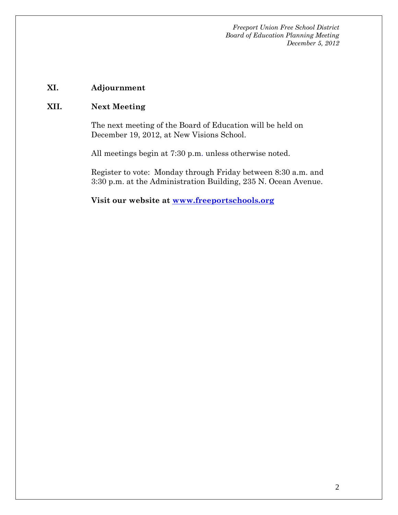*Freeport Union Free School District Board of Education Planning Meeting December 5, 2012* 

### **XI. Adjournment**

### **XII. Next Meeting**

The next meeting of the Board of Education will be held on December 19, 2012, at New Visions School.

All meetings begin at 7:30 p.m. unless otherwise noted.

Register to vote: Monday through Friday between 8:30 a.m. and 3:30 p.m. at the Administration Building, 235 N. Ocean Avenue.

**Visit our website at www.freeportschools.org**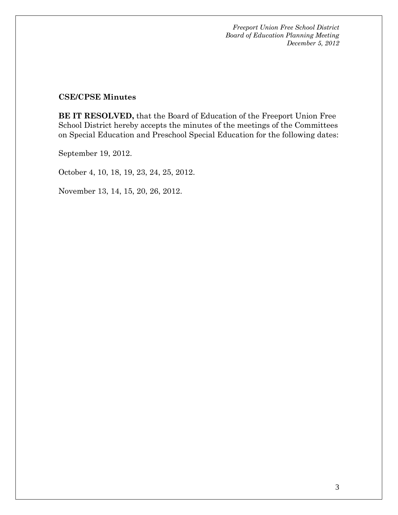*Freeport Union Free School District Board of Education Planning Meeting December 5, 2012* 

### **CSE/CPSE Minutes**

**BE IT RESOLVED,** that the Board of Education of the Freeport Union Free School District hereby accepts the minutes of the meetings of the Committees on Special Education and Preschool Special Education for the following dates:

September 19, 2012.

October 4, 10, 18, 19, 23, 24, 25, 2012.

November 13, 14, 15, 20, 26, 2012.